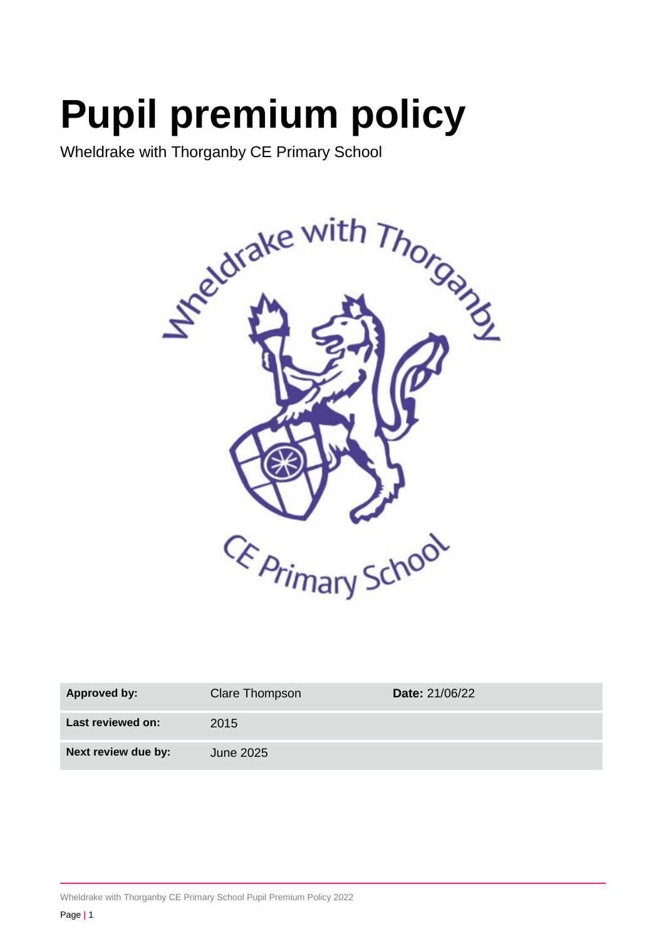# **Pupil premium policy**

Wheldrake with Thorganby CE Primary School



| <b>Approved by:</b> | Clare Thompson | <b>Date: 21/06/22</b> |
|---------------------|----------------|-----------------------|
| Last reviewed on:   | 2015           |                       |
| Next review due by: | June 2025      |                       |

Wheldrake with Thorganby CE Primary School Pupil Premium Policy 2022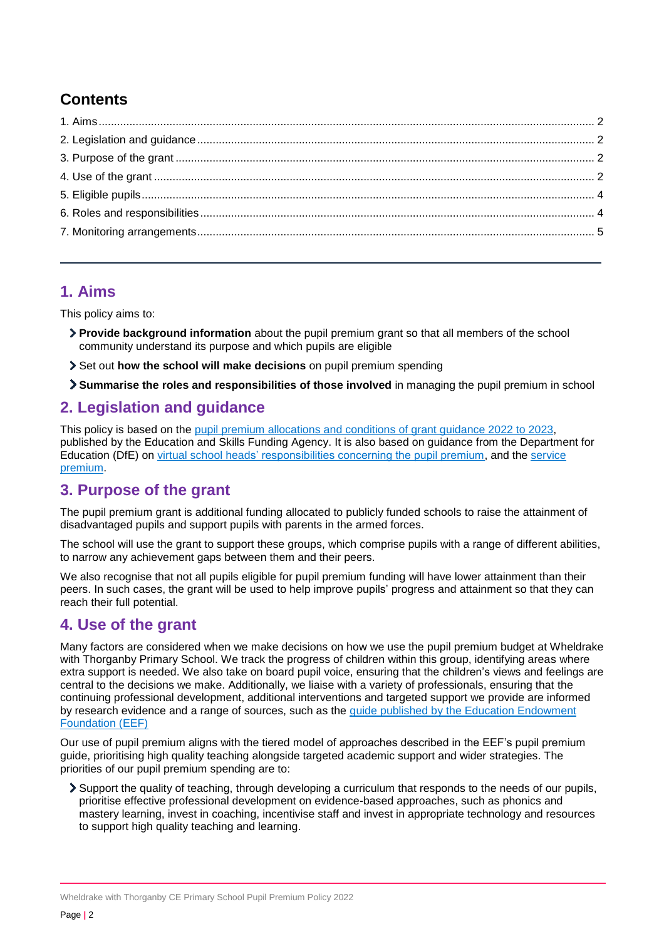# **Contents**

# <span id="page-1-0"></span>**1. Aims**

This policy aims to:

- **Provide background information** about the pupil premium grant so that all members of the school community understand its purpose and which pupils are eligible
- Set out **how the school will make decisions** on pupil premium spending
- **Summarise the roles and responsibilities of those involved** in managing the pupil premium in school

# <span id="page-1-1"></span>**2. Legislation and guidance**

This policy is based on the [pupil premium allocations and conditions of grant guidance 2022 to 2023,](https://www.gov.uk/government/publications/pupil-premium-allocations-and-conditions-of-grant-2022-to-2023) published by the Education and Skills Funding Agency. It is also based on guidance from the Department for Education (DfE) on [virtual school heads' responsibilities concerning the pupil premium,](https://www.gov.uk/guidance/pupil-premium-virtual-school-heads-responsibilities) and the [service](https://www.gov.uk/guidance/service-premium-information-for-schools)  [premium.](https://www.gov.uk/guidance/service-premium-information-for-schools)

# <span id="page-1-2"></span>**3. Purpose of the grant**

The pupil premium grant is additional funding allocated to publicly funded schools to raise the attainment of disadvantaged pupils and support pupils with parents in the armed forces.

The school will use the grant to support these groups, which comprise pupils with a range of different abilities, to narrow any achievement gaps between them and their peers.

We also recognise that not all pupils eligible for pupil premium funding will have lower attainment than their peers. In such cases, the grant will be used to help improve pupils' progress and attainment so that they can reach their full potential.

# <span id="page-1-3"></span>**4. Use of the grant**

Many factors are considered when we make decisions on how we use the pupil premium budget at Wheldrake with Thorganby Primary School. We track the progress of children within this group, identifying areas where extra support is needed. We also take on board pupil voice, ensuring that the children's views and feelings are central to the decisions we make. Additionally, we liaise with a variety of professionals, ensuring that the continuing professional development, additional interventions and targeted support we provide are informed by research evidence and a range of sources, such as the guide [published by the Education Endowment](https://educationendowmentfoundation.org.uk/evidence-summaries/pupil-premium-guide/)  [Foundation \(EEF\)](https://educationendowmentfoundation.org.uk/evidence-summaries/pupil-premium-guide/)

Our use of pupil premium aligns with the tiered model of approaches described in the EEF's pupil premium guide, prioritising high quality teaching alongside targeted academic support and wider strategies. The priorities of our pupil premium spending are to:

Support the quality of teaching, through developing a curriculum that responds to the needs of our pupils, prioritise effective professional development on evidence-based approaches, such as phonics and mastery learning, invest in coaching, incentivise staff and invest in appropriate technology and resources to support high quality teaching and learning.

Wheldrake with Thorganby CE Primary School Pupil Premium Policy 2022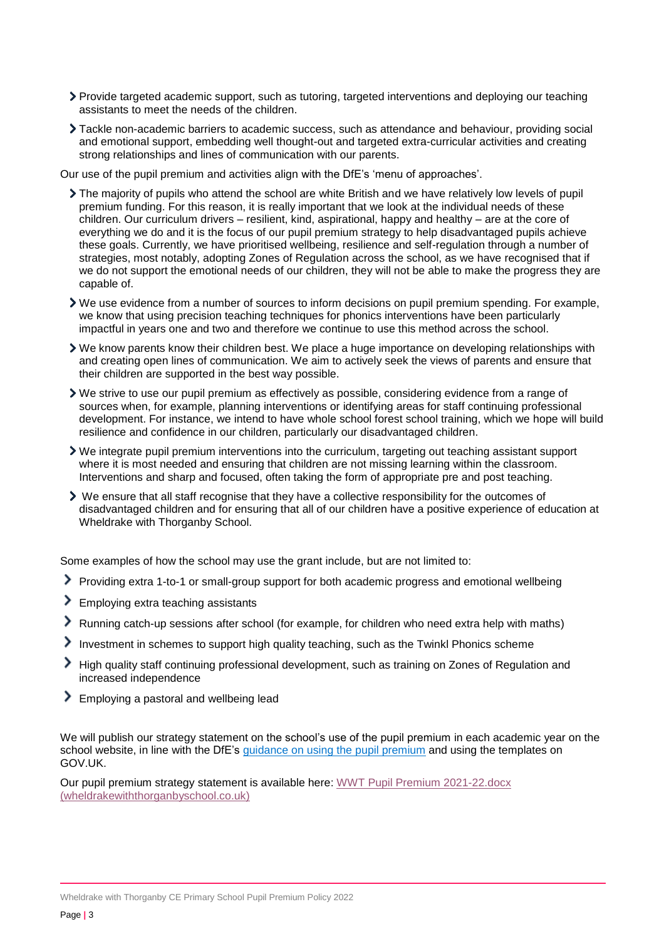- Provide targeted academic support, such as tutoring, targeted interventions and deploying our teaching assistants to meet the needs of the children.
- Tackle non-academic barriers to academic success, such as attendance and behaviour, providing social and emotional support, embedding well thought-out and targeted extra-curricular activities and creating strong relationships and lines of communication with our parents.
- Our use of the pupil premium and activities align with the DfE's 'menu of approaches'.
	- The majority of pupils who attend the school are white British and we have relatively low levels of pupil premium funding. For this reason, it is really important that we look at the individual needs of these children. Our curriculum drivers – resilient, kind, aspirational, happy and healthy – are at the core of everything we do and it is the focus of our pupil premium strategy to help disadvantaged pupils achieve these goals. Currently, we have prioritised wellbeing, resilience and self-regulation through a number of strategies, most notably, adopting Zones of Regulation across the school, as we have recognised that if we do not support the emotional needs of our children, they will not be able to make the progress they are capable of.
	- We use evidence from a number of sources to inform decisions on pupil premium spending. For example, we know that using precision teaching techniques for phonics interventions have been particularly impactful in years one and two and therefore we continue to use this method across the school.
	- We know parents know their children best. We place a huge importance on developing relationships with and creating open lines of communication. We aim to actively seek the views of parents and ensure that their children are supported in the best way possible.
	- We strive to use our pupil premium as effectively as possible, considering evidence from a range of sources when, for example, planning interventions or identifying areas for staff continuing professional development. For instance, we intend to have whole school forest school training, which we hope will build resilience and confidence in our children, particularly our disadvantaged children.
	- We integrate pupil premium interventions into the curriculum, targeting out teaching assistant support where it is most needed and ensuring that children are not missing learning within the classroom. Interventions and sharp and focused, often taking the form of appropriate pre and post teaching.
	- We ensure that all staff recognise that they have a collective responsibility for the outcomes of disadvantaged children and for ensuring that all of our children have a positive experience of education at Wheldrake with Thorganby School.

Some examples of how the school may use the grant include, but are not limited to:

- Providing extra 1-to-1 or small-group support for both academic progress and emotional wellbeing
- **Employing extra teaching assistants**
- Running catch-up sessions after school (for example, for children who need extra help with maths)
- Investment in schemes to support high quality teaching, such as the Twinkl Phonics scheme
- High quality staff continuing professional development, such as training on Zones of Regulation and increased independence
- **Employing a pastoral and wellbeing lead**

We will publish our strategy statement on the school's use of the pupil premium in each academic year on the school website, in line with the DfE's [guidance on using the pupil premium](https://www.gov.uk/government/publications/pupil-premium) and using the templates on GOV.UK.

Our pupil premium strategy statement is available here[: WWT Pupil Premium 2021-22.docx](https://wheldrakewiththorganbyschool.co.uk/wp-content/uploads/2022/06/WWT-Pupil-Premium-2021-22.docx.pdf)  [\(wheldrakewiththorganbyschool.co.uk\)](https://wheldrakewiththorganbyschool.co.uk/wp-content/uploads/2022/06/WWT-Pupil-Premium-2021-22.docx.pdf)

Wheldrake with Thorganby CE Primary School Pupil Premium Policy 2022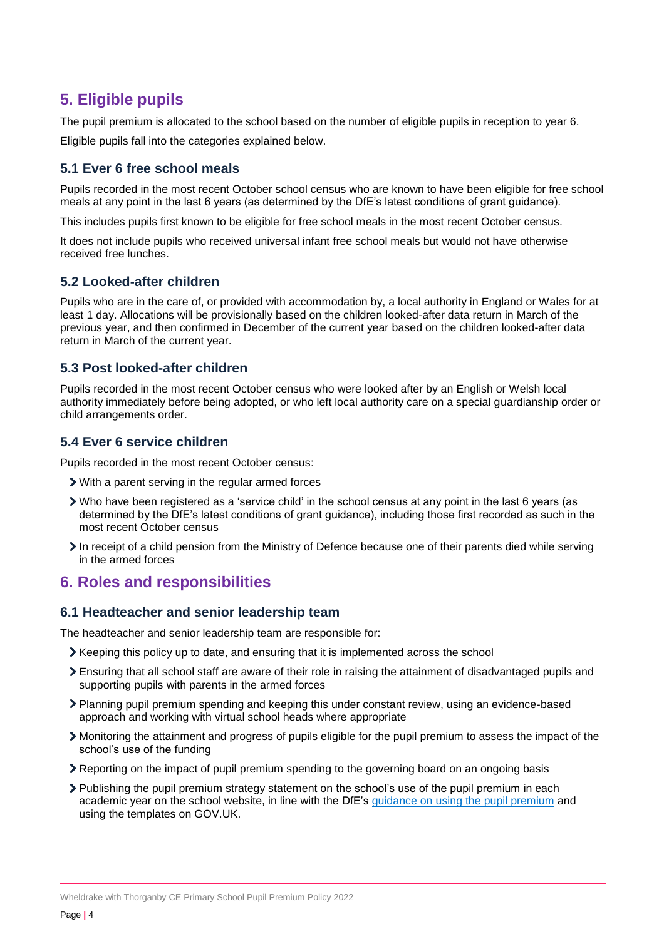# <span id="page-3-0"></span>**5. Eligible pupils**

The pupil premium is allocated to the school based on the number of eligible pupils in reception to year 6.

Eligible pupils fall into the categories explained below.

### **5.1 Ever 6 free school meals**

Pupils recorded in the most recent October school census who are known to have been eligible for free school meals at any point in the last 6 years (as determined by the DfE's latest conditions of grant guidance).

This includes pupils first known to be eligible for free school meals in the most recent October census.

It does not include pupils who received universal infant free school meals but would not have otherwise received free lunches.

#### **5.2 Looked-after children**

Pupils who are in the care of, or provided with accommodation by, a local authority in England or Wales for at least 1 day. Allocations will be provisionally based on the children looked-after data return in March of the previous year, and then confirmed in December of the current year based on the children looked-after data return in March of the current year.

#### **5.3 Post looked-after children**

Pupils recorded in the most recent October census who were looked after by an English or Welsh local authority immediately before being adopted, or who left local authority care on a special guardianship order or child arrangements order.

#### **5.4 Ever 6 service children**

Pupils recorded in the most recent October census:

- With a parent serving in the regular armed forces
- Who have been registered as a 'service child' in the school census at any point in the last 6 years (as determined by the DfE's latest conditions of grant guidance), including those first recorded as such in the most recent October census
- In receipt of a child pension from the Ministry of Defence because one of their parents died while serving in the armed forces

# <span id="page-3-1"></span>**6. Roles and responsibilities**

#### **6.1 Headteacher and senior leadership team**

The headteacher and senior leadership team are responsible for:

- Keeping this policy up to date, and ensuring that it is implemented across the school
- Ensuring that all school staff are aware of their role in raising the attainment of disadvantaged pupils and supporting pupils with parents in the armed forces
- Planning pupil premium spending and keeping this under constant review, using an evidence-based approach and working with virtual school heads where appropriate
- Monitoring the attainment and progress of pupils eligible for the pupil premium to assess the impact of the school's use of the funding
- Reporting on the impact of pupil premium spending to the governing board on an ongoing basis
- Publishing the pupil premium strategy statement on the school's use of the pupil premium in each academic year on the school website, in line with the DfE's [guidance on using the pupil premium](https://www.gov.uk/government/publications/pupil-premium) and using the templates on GOV.UK.

Wheldrake with Thorganby CE Primary School Pupil Premium Policy 2022